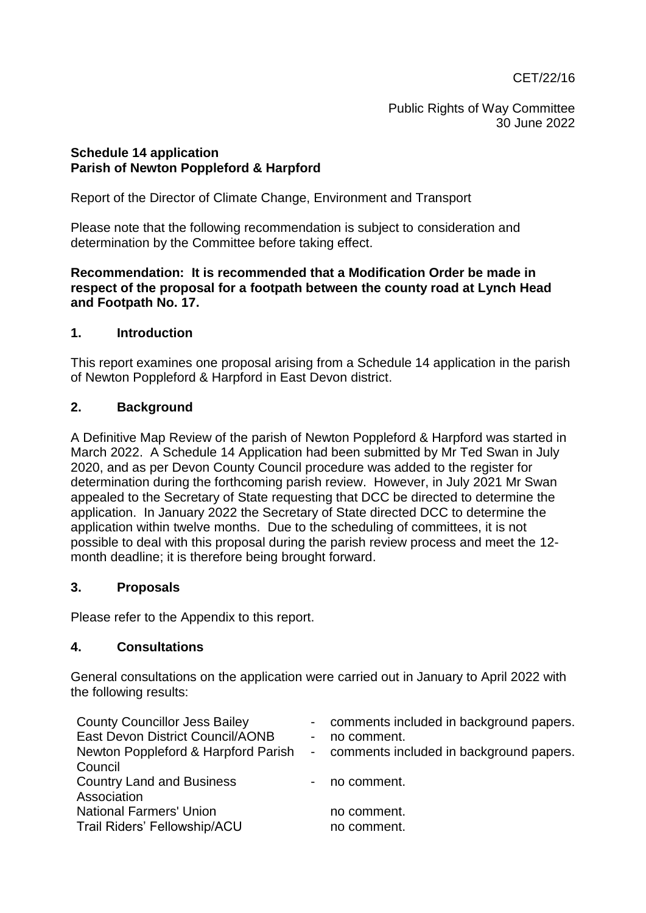CET/22/16

Public Rights of Way Committee 30 June 2022

## **Schedule 14 application Parish of Newton Poppleford & Harpford**

Report of the Director of Climate Change, Environment and Transport

Please note that the following recommendation is subject to consideration and determination by the Committee before taking effect.

**Recommendation: It is recommended that a Modification Order be made in respect of the proposal for a footpath between the county road at Lynch Head and Footpath No. 17.**

## **1. Introduction**

This report examines one proposal arising from a Schedule 14 application in the parish of Newton Poppleford & Harpford in East Devon district.

## **2. Background**

A Definitive Map Review of the parish of Newton Poppleford & Harpford was started in March 2022. A Schedule 14 Application had been submitted by Mr Ted Swan in July 2020, and as per Devon County Council procedure was added to the register for determination during the forthcoming parish review. However, in July 2021 Mr Swan appealed to the Secretary of State requesting that DCC be directed to determine the application. In January 2022 the Secretary of State directed DCC to determine the application within twelve months. Due to the scheduling of committees, it is not possible to deal with this proposal during the parish review process and meet the 12 month deadline; it is therefore being brought forward.

## **3. Proposals**

Please refer to the Appendix to this report.

## **4. Consultations**

General consultations on the application were carried out in January to April 2022 with the following results:

| <b>County Councillor Jess Bailey</b> |                          | - comments included in background papers. |
|--------------------------------------|--------------------------|-------------------------------------------|
| East Devon District Council/AONB     | $\overline{\phantom{0}}$ | no comment.                               |
| Newton Poppleford & Harpford Parish  |                          | - comments included in background papers. |
| Council                              |                          |                                           |
| <b>Country Land and Business</b>     |                          | - no comment.                             |
| Association                          |                          |                                           |
| <b>National Farmers' Union</b>       |                          | no comment.                               |
| Trail Riders' Fellowship/ACU         |                          | no comment.                               |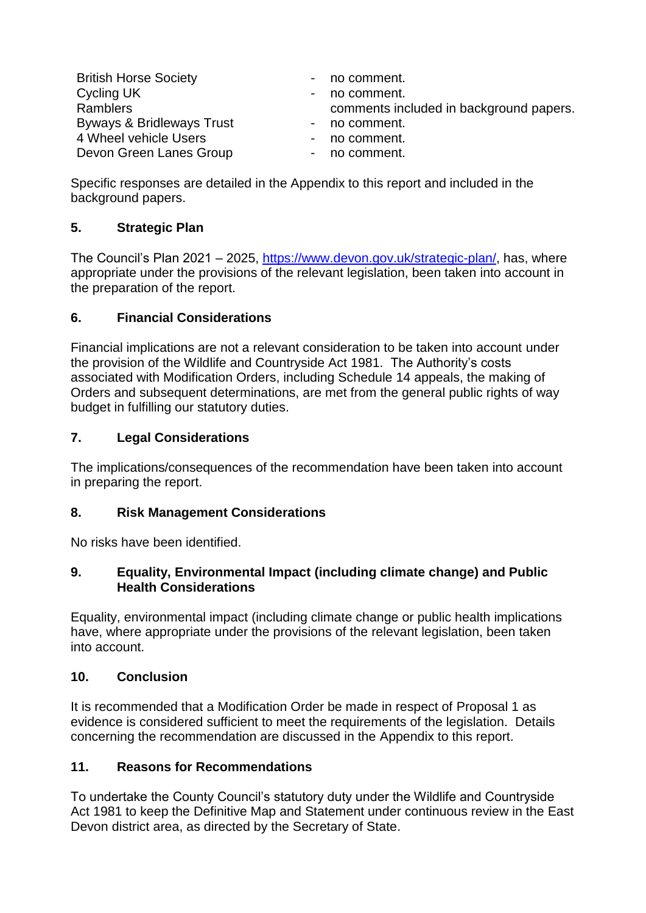| <b>British Horse Society</b> | - no comment.                           |
|------------------------------|-----------------------------------------|
| Cycling UK                   | - no comment.                           |
| <b>Ramblers</b>              | comments included in background papers. |
| Byways & Bridleways Trust    | - no comment.                           |
| 4 Wheel vehicle Users        | - no comment.                           |
| Devon Green Lanes Group      | - no comment.                           |

Specific responses are detailed in the Appendix to this report and included in the background papers.

# **5. Strategic Plan**

The Council's Plan 2021 – 2025, [https://www.devon.gov.uk/strategic-plan/,](https://eur02.safelinks.protection.outlook.com/?url=https%3A%2F%2Fwww.devon.gov.uk%2Fstrategic-plan%2F&data=04%7C01%7Cthomas.green%40devon.gov.uk%7C414dd431c37a4133f8fa08da188fdb2e%7C8da13783cb68443fbb4b997f77fd5bfb%7C0%7C0%7C637849303374783496%7CUnknown%7CTWFpbGZsb3d8eyJWIjoiMC4wLjAwMDAiLCJQIjoiV2luMzIiLCJBTiI6Ik1haWwiLCJXVCI6Mn0%3D%7C3000&sdata=PBjFyHwUDqZ6L3aLIQAPxGwa3O4OkjQFxaTMJNteX2k%3D&reserved=0) has, where appropriate under the provisions of the relevant legislation, been taken into account in the preparation of the report.

# **6. Financial Considerations**

Financial implications are not a relevant consideration to be taken into account under the provision of the Wildlife and Countryside Act 1981. The Authority's costs associated with Modification Orders, including Schedule 14 appeals, the making of Orders and subsequent determinations, are met from the general public rights of way budget in fulfilling our statutory duties.

# **7. Legal Considerations**

The implications/consequences of the recommendation have been taken into account in preparing the report.

# **8. Risk Management Considerations**

No risks have been identified.

## **9. Equality, Environmental Impact (including climate change) and Public Health Considerations**

Equality, environmental impact (including climate change or public health implications have, where appropriate under the provisions of the relevant legislation, been taken into account.

# **10. Conclusion**

It is recommended that a Modification Order be made in respect of Proposal 1 as evidence is considered sufficient to meet the requirements of the legislation. Details concerning the recommendation are discussed in the Appendix to this report.

## **11. Reasons for Recommendations**

To undertake the County Council's statutory duty under the Wildlife and Countryside Act 1981 to keep the Definitive Map and Statement under continuous review in the East Devon district area, as directed by the Secretary of State.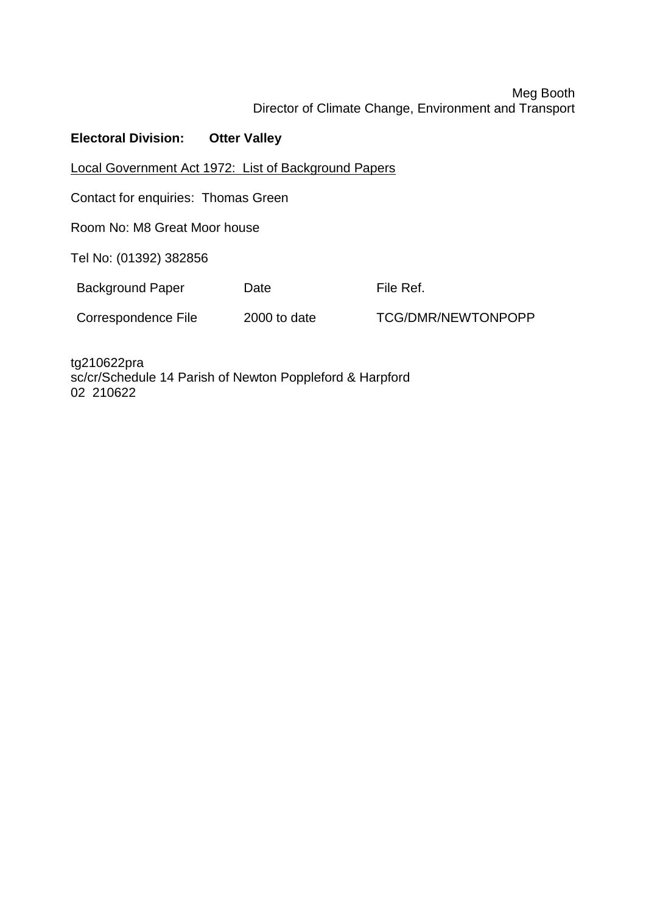# Meg Booth Director of Climate Change, Environment and Transport

# **Electoral Division: Otter Valley**

Local Government Act 1972: List of Background Papers

Contact for enquiries: Thomas Green

Room No: M8 Great Moor house

Tel No: (01392) 382856

Background Paper Date **Date** File Ref.

Correspondence File 2000 to date TCG/DMR/NEWTONPOPP

tg210622pra sc/cr/Schedule 14 Parish of Newton Poppleford & Harpford 02 210622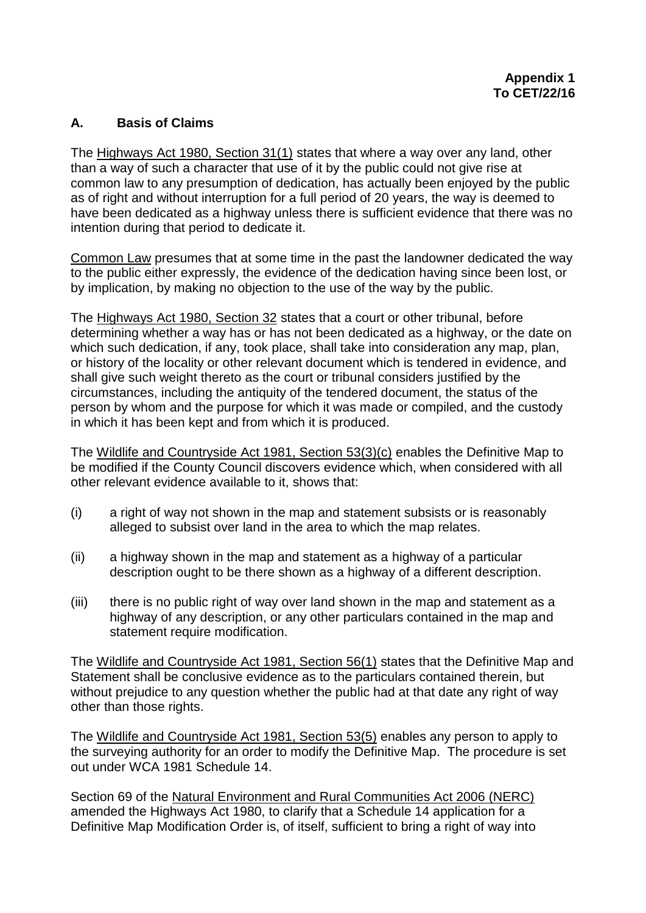## **A. Basis of Claims**

The Highways Act 1980, Section 31(1) states that where a way over any land, other than a way of such a character that use of it by the public could not give rise at common law to any presumption of dedication, has actually been enjoyed by the public as of right and without interruption for a full period of 20 years, the way is deemed to have been dedicated as a highway unless there is sufficient evidence that there was no intention during that period to dedicate it.

Common Law presumes that at some time in the past the landowner dedicated the way to the public either expressly, the evidence of the dedication having since been lost, or by implication, by making no objection to the use of the way by the public.

The Highways Act 1980, Section 32 states that a court or other tribunal, before determining whether a way has or has not been dedicated as a highway, or the date on which such dedication, if any, took place, shall take into consideration any map, plan, or history of the locality or other relevant document which is tendered in evidence, and shall give such weight thereto as the court or tribunal considers justified by the circumstances, including the antiquity of the tendered document, the status of the person by whom and the purpose for which it was made or compiled, and the custody in which it has been kept and from which it is produced.

The Wildlife and Countryside Act 1981, Section 53(3)(c) enables the Definitive Map to be modified if the County Council discovers evidence which, when considered with all other relevant evidence available to it, shows that:

- (i) a right of way not shown in the map and statement subsists or is reasonably alleged to subsist over land in the area to which the map relates.
- (ii) a highway shown in the map and statement as a highway of a particular description ought to be there shown as a highway of a different description.
- (iii) there is no public right of way over land shown in the map and statement as a highway of any description, or any other particulars contained in the map and statement require modification.

The Wildlife and Countryside Act 1981, Section 56(1) states that the Definitive Map and Statement shall be conclusive evidence as to the particulars contained therein, but without prejudice to any question whether the public had at that date any right of way other than those rights.

The Wildlife and Countryside Act 1981, Section 53(5) enables any person to apply to the surveying authority for an order to modify the Definitive Map. The procedure is set out under WCA 1981 Schedule 14.

Section 69 of the Natural Environment and Rural Communities Act 2006 (NERC) amended the Highways Act 1980, to clarify that a Schedule 14 application for a Definitive Map Modification Order is, of itself, sufficient to bring a right of way into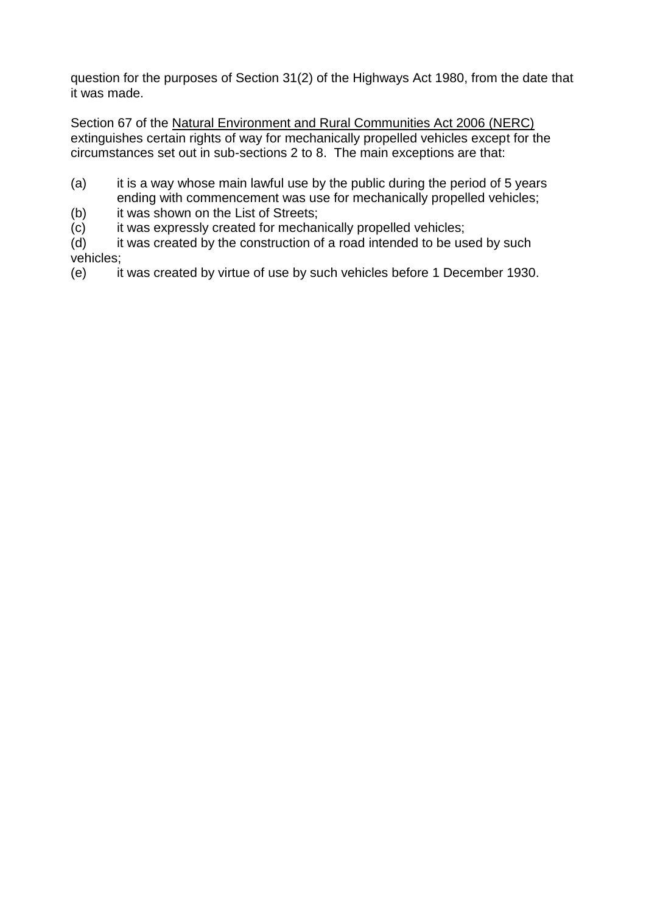question for the purposes of Section 31(2) of the Highways Act 1980, from the date that it was made.

Section 67 of the Natural Environment and Rural Communities Act 2006 (NERC) extinguishes certain rights of way for mechanically propelled vehicles except for the circumstances set out in sub-sections 2 to 8. The main exceptions are that:

- (a) it is a way whose main lawful use by the public during the period of 5 years ending with commencement was use for mechanically propelled vehicles;
- (b) it was shown on the List of Streets;
- $(c)$  it was expressly created for mechanically propelled vehicles;
- (d) it was created by the construction of a road intended to be used by such vehicles;
- (e) it was created by virtue of use by such vehicles before 1 December 1930.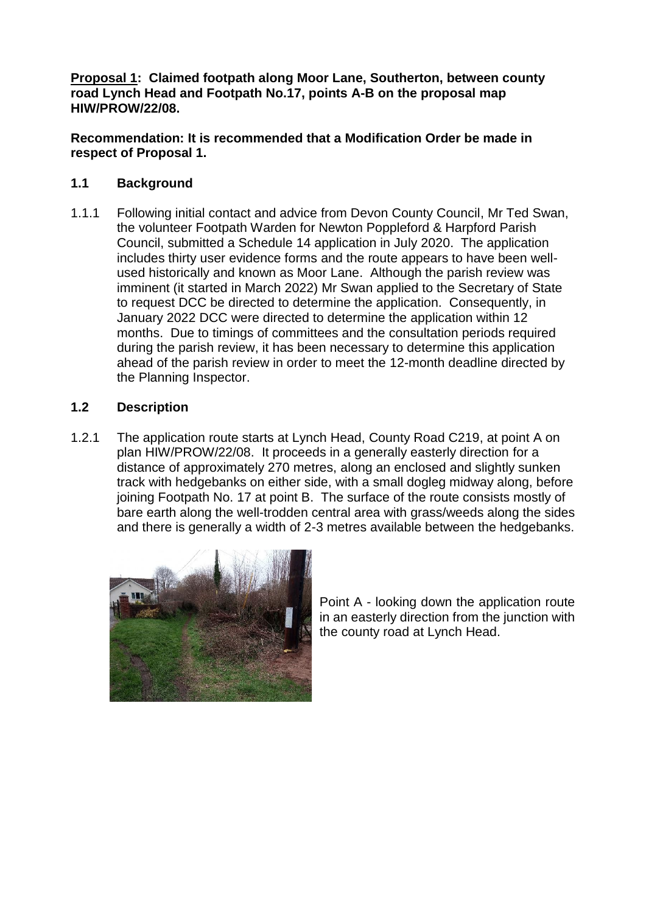**Proposal 1: Claimed footpath along Moor Lane, Southerton, between county road Lynch Head and Footpath No.17, points A-B on the proposal map HIW/PROW/22/08.**

**Recommendation: It is recommended that a Modification Order be made in respect of Proposal 1.**

# **1.1 Background**

1.1.1 Following initial contact and advice from Devon County Council, Mr Ted Swan, the volunteer Footpath Warden for Newton Poppleford & Harpford Parish Council, submitted a Schedule 14 application in July 2020. The application includes thirty user evidence forms and the route appears to have been wellused historically and known as Moor Lane. Although the parish review was imminent (it started in March 2022) Mr Swan applied to the Secretary of State to request DCC be directed to determine the application. Consequently, in January 2022 DCC were directed to determine the application within 12 months. Due to timings of committees and the consultation periods required during the parish review, it has been necessary to determine this application ahead of the parish review in order to meet the 12-month deadline directed by the Planning Inspector.

## **1.2 Description**

1.2.1 The application route starts at Lynch Head, County Road C219, at point A on plan HIW/PROW/22/08. It proceeds in a generally easterly direction for a distance of approximately 270 metres, along an enclosed and slightly sunken track with hedgebanks on either side, with a small dogleg midway along, before joining Footpath No. 17 at point B. The surface of the route consists mostly of bare earth along the well-trodden central area with grass/weeds along the sides and there is generally a width of 2-3 metres available between the hedgebanks.



Point A - looking down the application route in an easterly direction from the junction with the county road at Lynch Head.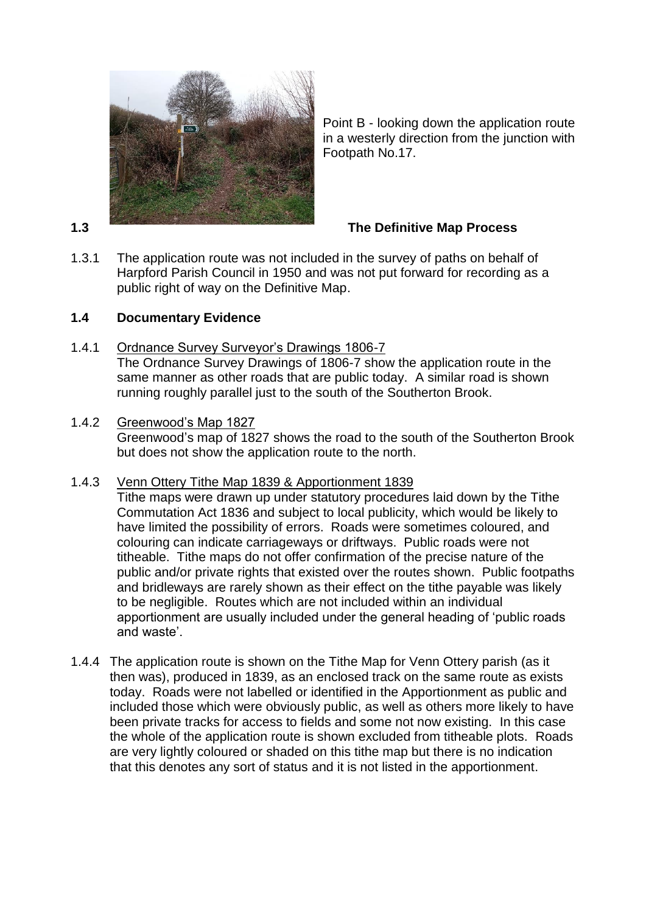

Point B - looking down the application route in a westerly direction from the junction with Footpath No.17.

1.3.1 The application route was not included in the survey of paths on behalf of Harpford Parish Council in 1950 and was not put forward for recording as a public right of way on the Definitive Map.

# **1.4 Documentary Evidence**

1.4.1 Ordnance Survey Surveyor's Drawings 1806-7

The Ordnance Survey Drawings of 1806-7 show the application route in the same manner as other roads that are public today. A similar road is shown running roughly parallel just to the south of the Southerton Brook.

1.4.2 Greenwood's Map 1827

Greenwood's map of 1827 shows the road to the south of the Southerton Brook but does not show the application route to the north.

1.4.3 Venn Ottery Tithe Map 1839 & Apportionment 1839

Tithe maps were drawn up under statutory procedures laid down by the Tithe Commutation Act 1836 and subject to local publicity, which would be likely to have limited the possibility of errors. Roads were sometimes coloured, and colouring can indicate carriageways or driftways. Public roads were not titheable. Tithe maps do not offer confirmation of the precise nature of the public and/or private rights that existed over the routes shown. Public footpaths and bridleways are rarely shown as their effect on the tithe payable was likely to be negligible. Routes which are not included within an individual apportionment are usually included under the general heading of 'public roads and waste'.

1.4.4 The application route is shown on the Tithe Map for Venn Ottery parish (as it then was), produced in 1839, as an enclosed track on the same route as exists today. Roads were not labelled or identified in the Apportionment as public and included those which were obviously public, as well as others more likely to have been private tracks for access to fields and some not now existing. In this case the whole of the application route is shown excluded from titheable plots. Roads are very lightly coloured or shaded on this tithe map but there is no indication that this denotes any sort of status and it is not listed in the apportionment.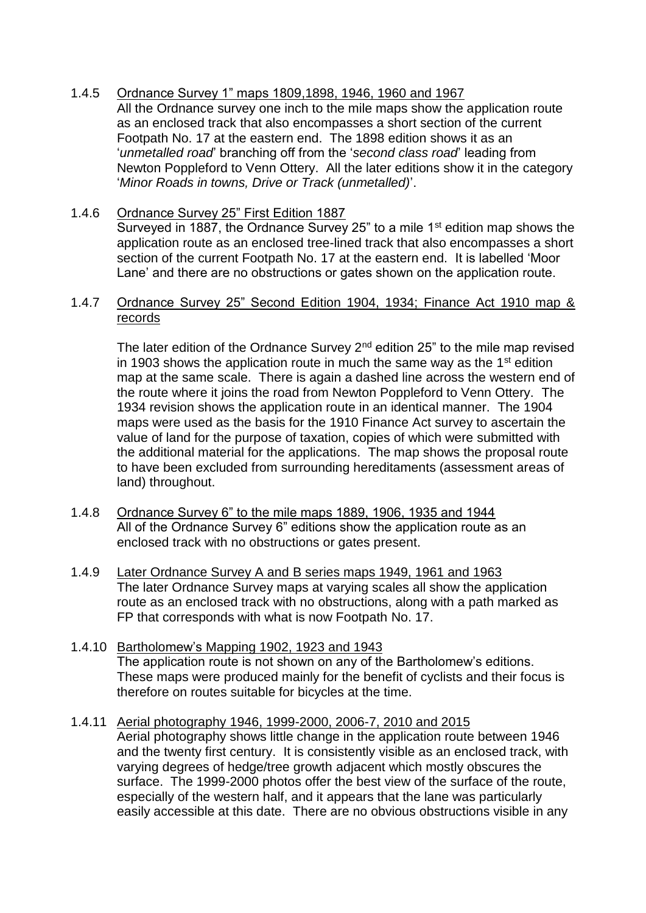# 1.4.5 Ordnance Survey 1" maps 1809,1898, 1946, 1960 and 1967

All the Ordnance survey one inch to the mile maps show the application route as an enclosed track that also encompasses a short section of the current Footpath No. 17 at the eastern end. The 1898 edition shows it as an '*unmetalled road*' branching off from the '*second class road*' leading from Newton Poppleford to Venn Ottery. All the later editions show it in the category '*Minor Roads in towns, Drive or Track (unmetalled)*'.

## 1.4.6 Ordnance Survey 25" First Edition 1887

Surveyed in 1887, the Ordnance Survey 25" to a mile 1 $st$  edition map shows the application route as an enclosed tree-lined track that also encompasses a short section of the current Footpath No. 17 at the eastern end. It is labelled 'Moor Lane' and there are no obstructions or gates shown on the application route.

## 1.4.7 Ordnance Survey 25" Second Edition 1904, 1934; Finance Act 1910 map & records

The later edition of the Ordnance Survey 2<sup>nd</sup> edition 25" to the mile map revised in 1903 shows the application route in much the same way as the  $1<sup>st</sup>$  edition map at the same scale. There is again a dashed line across the western end of the route where it joins the road from Newton Poppleford to Venn Ottery. The 1934 revision shows the application route in an identical manner. The 1904 maps were used as the basis for the 1910 Finance Act survey to ascertain the value of land for the purpose of taxation, copies of which were submitted with the additional material for the applications. The map shows the proposal route to have been excluded from surrounding hereditaments (assessment areas of land) throughout.

- 1.4.8 Ordnance Survey 6" to the mile maps 1889, 1906, 1935 and 1944 All of the Ordnance Survey 6" editions show the application route as an enclosed track with no obstructions or gates present.
- 1.4.9 Later Ordnance Survey A and B series maps 1949, 1961 and 1963 The later Ordnance Survey maps at varying scales all show the application route as an enclosed track with no obstructions, along with a path marked as FP that corresponds with what is now Footpath No. 17.
- 1.4.10 Bartholomew's Mapping 1902, 1923 and 1943 The application route is not shown on any of the Bartholomew's editions. These maps were produced mainly for the benefit of cyclists and their focus is therefore on routes suitable for bicycles at the time.
- 1.4.11 Aerial photography 1946, 1999-2000, 2006-7, 2010 and 2015 Aerial photography shows little change in the application route between 1946 and the twenty first century. It is consistently visible as an enclosed track, with varying degrees of hedge/tree growth adjacent which mostly obscures the surface. The 1999-2000 photos offer the best view of the surface of the route, especially of the western half, and it appears that the lane was particularly easily accessible at this date. There are no obvious obstructions visible in any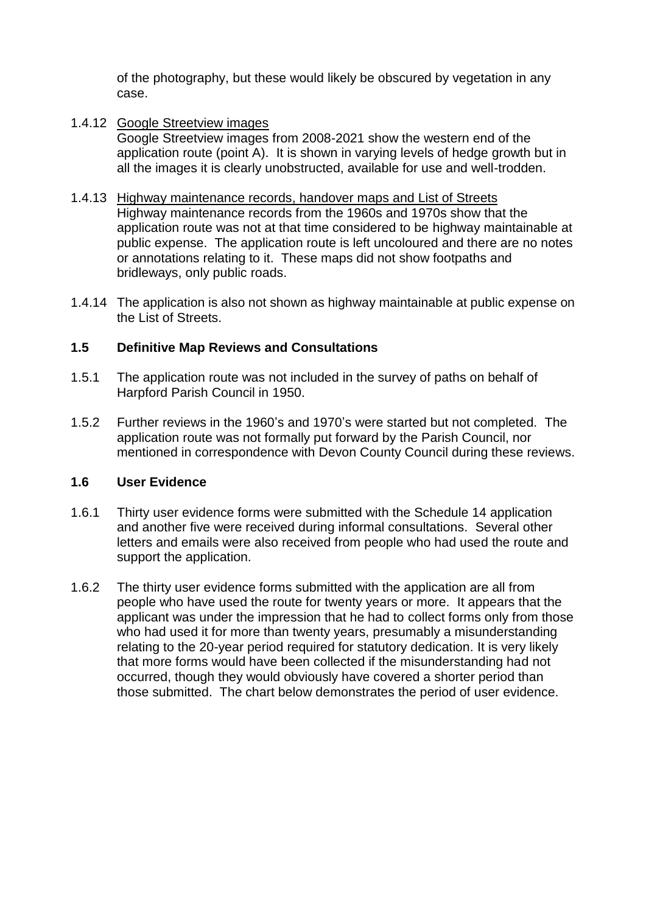of the photography, but these would likely be obscured by vegetation in any case.

1.4.12 Google Streetview images

Google Streetview images from 2008-2021 show the western end of the application route (point A). It is shown in varying levels of hedge growth but in all the images it is clearly unobstructed, available for use and well-trodden.

- 1.4.13 Highway maintenance records, handover maps and List of Streets Highway maintenance records from the 1960s and 1970s show that the application route was not at that time considered to be highway maintainable at public expense. The application route is left uncoloured and there are no notes or annotations relating to it. These maps did not show footpaths and bridleways, only public roads.
- 1.4.14 The application is also not shown as highway maintainable at public expense on the List of Streets.

#### **1.5 Definitive Map Reviews and Consultations**

- 1.5.1 The application route was not included in the survey of paths on behalf of Harpford Parish Council in 1950.
- 1.5.2 Further reviews in the 1960's and 1970's were started but not completed. The application route was not formally put forward by the Parish Council, nor mentioned in correspondence with Devon County Council during these reviews.

## **1.6 User Evidence**

- 1.6.1 Thirty user evidence forms were submitted with the Schedule 14 application and another five were received during informal consultations. Several other letters and emails were also received from people who had used the route and support the application.
- 1.6.2 The thirty user evidence forms submitted with the application are all from people who have used the route for twenty years or more. It appears that the applicant was under the impression that he had to collect forms only from those who had used it for more than twenty years, presumably a misunderstanding relating to the 20-year period required for statutory dedication. It is very likely that more forms would have been collected if the misunderstanding had not occurred, though they would obviously have covered a shorter period than those submitted. The chart below demonstrates the period of user evidence.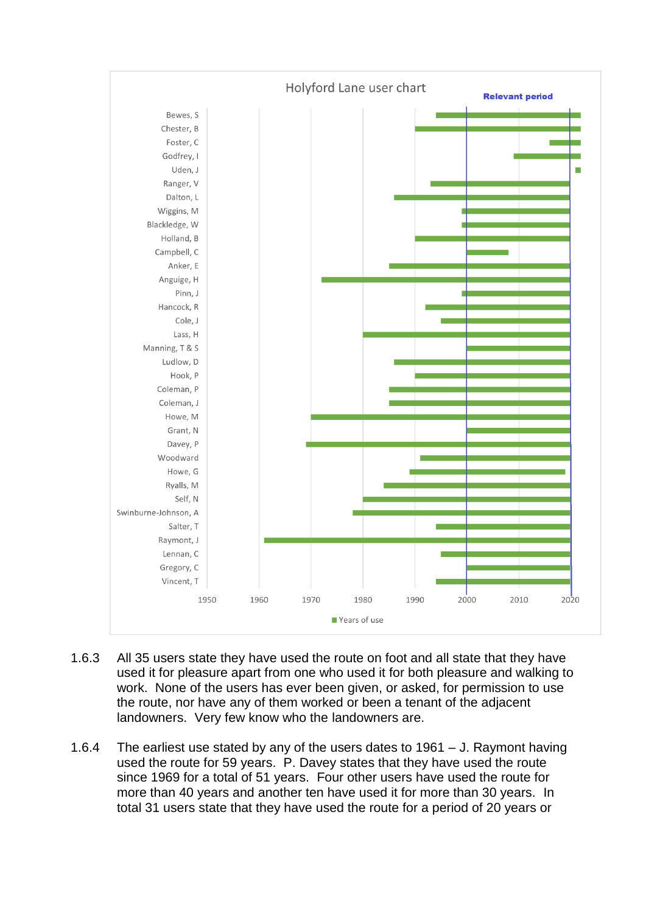

- 1.6.3 All 35 users state they have used the route on foot and all state that they have used it for pleasure apart from one who used it for both pleasure and walking to work. None of the users has ever been given, or asked, for permission to use the route, nor have any of them worked or been a tenant of the adjacent landowners. Very few know who the landowners are.
- 1.6.4 The earliest use stated by any of the users dates to 1961 J. Raymont having used the route for 59 years. P. Davey states that they have used the route since 1969 for a total of 51 years. Four other users have used the route for more than 40 years and another ten have used it for more than 30 years. In total 31 users state that they have used the route for a period of 20 years or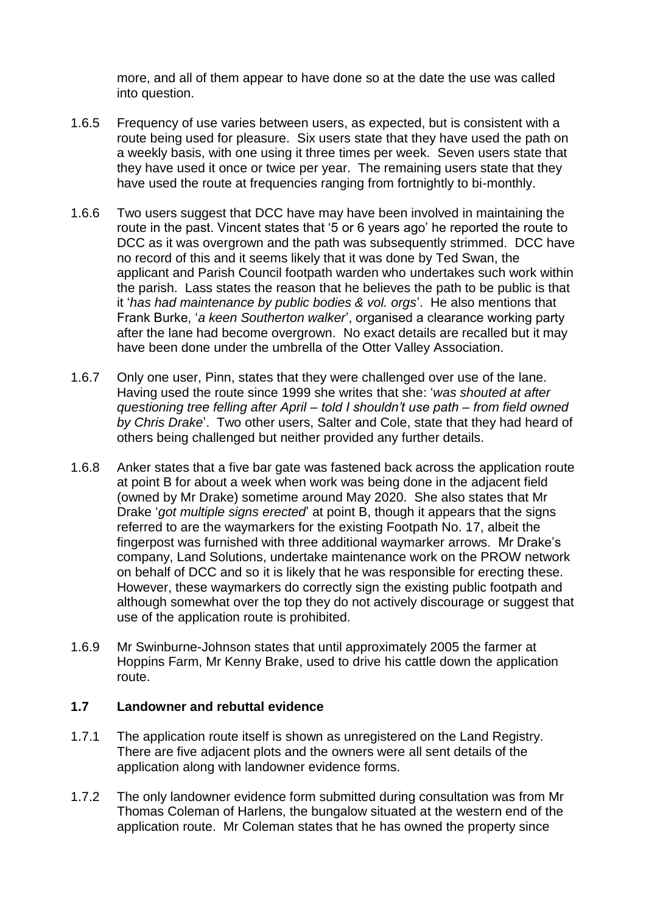more, and all of them appear to have done so at the date the use was called into question.

- 1.6.5 Frequency of use varies between users, as expected, but is consistent with a route being used for pleasure. Six users state that they have used the path on a weekly basis, with one using it three times per week. Seven users state that they have used it once or twice per year. The remaining users state that they have used the route at frequencies ranging from fortnightly to bi-monthly.
- 1.6.6 Two users suggest that DCC have may have been involved in maintaining the route in the past. Vincent states that '5 or 6 years ago' he reported the route to DCC as it was overgrown and the path was subsequently strimmed. DCC have no record of this and it seems likely that it was done by Ted Swan, the applicant and Parish Council footpath warden who undertakes such work within the parish. Lass states the reason that he believes the path to be public is that it '*has had maintenance by public bodies & vol. orgs*'. He also mentions that Frank Burke, '*a keen Southerton walker*', organised a clearance working party after the lane had become overgrown. No exact details are recalled but it may have been done under the umbrella of the Otter Valley Association.
- 1.6.7 Only one user, Pinn, states that they were challenged over use of the lane. Having used the route since 1999 she writes that she: '*was shouted at after questioning tree felling after April – told I shouldn't use path – from field owned by Chris Drake*'. Two other users, Salter and Cole, state that they had heard of others being challenged but neither provided any further details.
- 1.6.8 Anker states that a five bar gate was fastened back across the application route at point B for about a week when work was being done in the adjacent field (owned by Mr Drake) sometime around May 2020. She also states that Mr Drake '*got multiple signs erected*' at point B, though it appears that the signs referred to are the waymarkers for the existing Footpath No. 17, albeit the fingerpost was furnished with three additional waymarker arrows. Mr Drake's company, Land Solutions, undertake maintenance work on the PROW network on behalf of DCC and so it is likely that he was responsible for erecting these. However, these waymarkers do correctly sign the existing public footpath and although somewhat over the top they do not actively discourage or suggest that use of the application route is prohibited.
- 1.6.9 Mr Swinburne-Johnson states that until approximately 2005 the farmer at Hoppins Farm, Mr Kenny Brake, used to drive his cattle down the application route.

#### **1.7 Landowner and rebuttal evidence**

- 1.7.1 The application route itself is shown as unregistered on the Land Registry. There are five adjacent plots and the owners were all sent details of the application along with landowner evidence forms.
- 1.7.2 The only landowner evidence form submitted during consultation was from Mr Thomas Coleman of Harlens, the bungalow situated at the western end of the application route. Mr Coleman states that he has owned the property since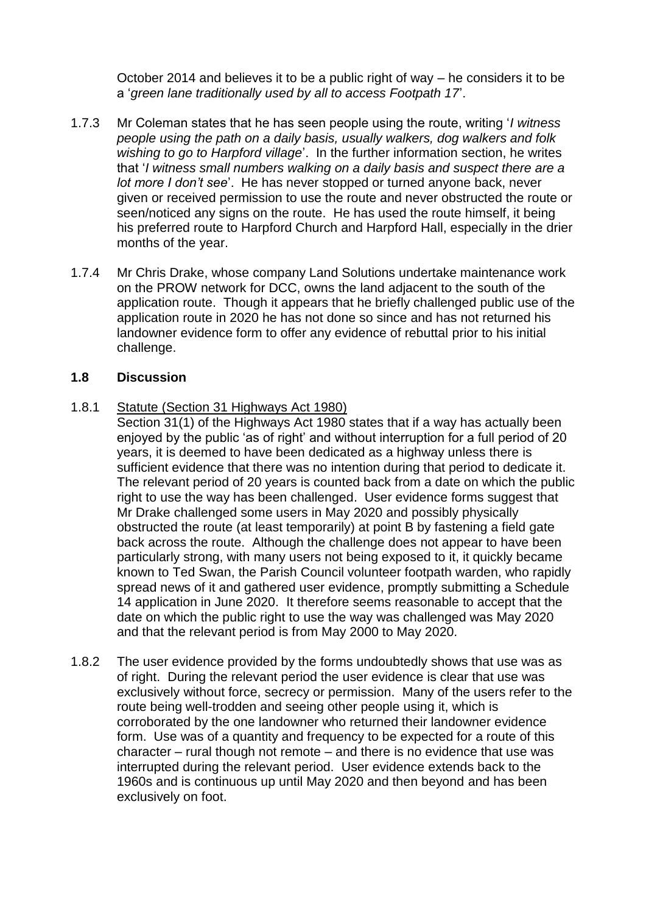October 2014 and believes it to be a public right of way – he considers it to be a '*green lane traditionally used by all to access Footpath 17*'.

- 1.7.3 Mr Coleman states that he has seen people using the route, writing '*I witness people using the path on a daily basis, usually walkers, dog walkers and folk wishing to go to Harpford village*'. In the further information section, he writes that '*I witness small numbers walking on a daily basis and suspect there are a lot more I don't see*'. He has never stopped or turned anyone back, never given or received permission to use the route and never obstructed the route or seen/noticed any signs on the route. He has used the route himself, it being his preferred route to Harpford Church and Harpford Hall, especially in the drier months of the year.
- 1.7.4 Mr Chris Drake, whose company Land Solutions undertake maintenance work on the PROW network for DCC, owns the land adjacent to the south of the application route. Though it appears that he briefly challenged public use of the application route in 2020 he has not done so since and has not returned his landowner evidence form to offer any evidence of rebuttal prior to his initial challenge.

#### **1.8 Discussion**

#### 1.8.1 Statute (Section 31 Highways Act 1980)

- Section 31(1) of the Highways Act 1980 states that if a way has actually been enjoyed by the public 'as of right' and without interruption for a full period of 20 years, it is deemed to have been dedicated as a highway unless there is sufficient evidence that there was no intention during that period to dedicate it. The relevant period of 20 years is counted back from a date on which the public right to use the way has been challenged. User evidence forms suggest that Mr Drake challenged some users in May 2020 and possibly physically obstructed the route (at least temporarily) at point B by fastening a field gate back across the route. Although the challenge does not appear to have been particularly strong, with many users not being exposed to it, it quickly became known to Ted Swan, the Parish Council volunteer footpath warden, who rapidly spread news of it and gathered user evidence, promptly submitting a Schedule 14 application in June 2020. It therefore seems reasonable to accept that the date on which the public right to use the way was challenged was May 2020 and that the relevant period is from May 2000 to May 2020.
- 1.8.2 The user evidence provided by the forms undoubtedly shows that use was as of right. During the relevant period the user evidence is clear that use was exclusively without force, secrecy or permission. Many of the users refer to the route being well-trodden and seeing other people using it, which is corroborated by the one landowner who returned their landowner evidence form. Use was of a quantity and frequency to be expected for a route of this character – rural though not remote – and there is no evidence that use was interrupted during the relevant period. User evidence extends back to the 1960s and is continuous up until May 2020 and then beyond and has been exclusively on foot.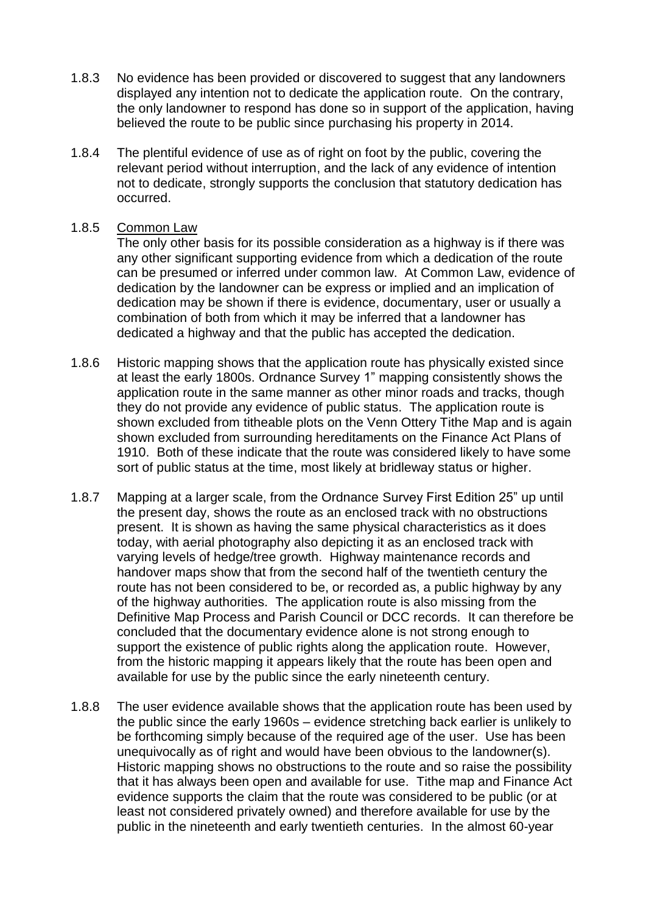- 1.8.3 No evidence has been provided or discovered to suggest that any landowners displayed any intention not to dedicate the application route. On the contrary, the only landowner to respond has done so in support of the application, having believed the route to be public since purchasing his property in 2014.
- 1.8.4 The plentiful evidence of use as of right on foot by the public, covering the relevant period without interruption, and the lack of any evidence of intention not to dedicate, strongly supports the conclusion that statutory dedication has occurred.

## 1.8.5 Common Law

The only other basis for its possible consideration as a highway is if there was any other significant supporting evidence from which a dedication of the route can be presumed or inferred under common law. At Common Law, evidence of dedication by the landowner can be express or implied and an implication of dedication may be shown if there is evidence, documentary, user or usually a combination of both from which it may be inferred that a landowner has dedicated a highway and that the public has accepted the dedication.

- 1.8.6 Historic mapping shows that the application route has physically existed since at least the early 1800s. Ordnance Survey 1" mapping consistently shows the application route in the same manner as other minor roads and tracks, though they do not provide any evidence of public status. The application route is shown excluded from titheable plots on the Venn Ottery Tithe Map and is again shown excluded from surrounding hereditaments on the Finance Act Plans of 1910. Both of these indicate that the route was considered likely to have some sort of public status at the time, most likely at bridleway status or higher.
- 1.8.7 Mapping at a larger scale, from the Ordnance Survey First Edition 25" up until the present day, shows the route as an enclosed track with no obstructions present. It is shown as having the same physical characteristics as it does today, with aerial photography also depicting it as an enclosed track with varying levels of hedge/tree growth. Highway maintenance records and handover maps show that from the second half of the twentieth century the route has not been considered to be, or recorded as, a public highway by any of the highway authorities. The application route is also missing from the Definitive Map Process and Parish Council or DCC records. It can therefore be concluded that the documentary evidence alone is not strong enough to support the existence of public rights along the application route. However, from the historic mapping it appears likely that the route has been open and available for use by the public since the early nineteenth century.
- 1.8.8 The user evidence available shows that the application route has been used by the public since the early 1960s – evidence stretching back earlier is unlikely to be forthcoming simply because of the required age of the user. Use has been unequivocally as of right and would have been obvious to the landowner(s). Historic mapping shows no obstructions to the route and so raise the possibility that it has always been open and available for use. Tithe map and Finance Act evidence supports the claim that the route was considered to be public (or at least not considered privately owned) and therefore available for use by the public in the nineteenth and early twentieth centuries. In the almost 60-year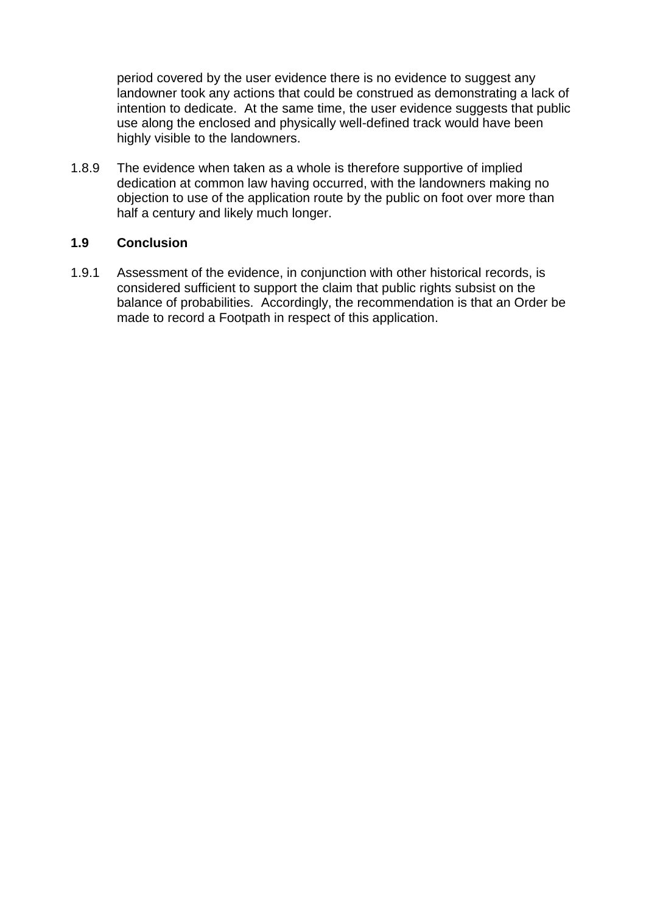period covered by the user evidence there is no evidence to suggest any landowner took any actions that could be construed as demonstrating a lack of intention to dedicate. At the same time, the user evidence suggests that public use along the enclosed and physically well-defined track would have been highly visible to the landowners.

1.8.9 The evidence when taken as a whole is therefore supportive of implied dedication at common law having occurred, with the landowners making no objection to use of the application route by the public on foot over more than half a century and likely much longer.

## **1.9 Conclusion**

1.9.1 Assessment of the evidence, in conjunction with other historical records, is considered sufficient to support the claim that public rights subsist on the balance of probabilities. Accordingly, the recommendation is that an Order be made to record a Footpath in respect of this application.